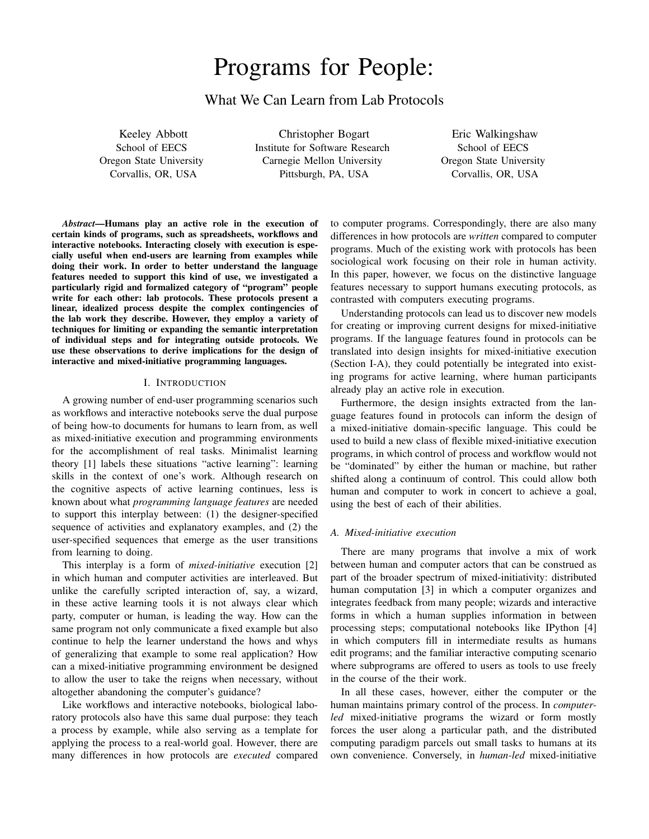# Programs for People:

# What We Can Learn from Lab Protocols

Keeley Abbott School of EECS Oregon State University Corvallis, OR, USA

Christopher Bogart Institute for Software Research Carnegie Mellon University Pittsburgh, PA, USA

Eric Walkingshaw School of EECS Oregon State University Corvallis, OR, USA

*Abstract*—Humans play an active role in the execution of certain kinds of programs, such as spreadsheets, workflows and interactive notebooks. Interacting closely with execution is especially useful when end-users are learning from examples while doing their work. In order to better understand the language features needed to support this kind of use, we investigated a particularly rigid and formalized category of "program" people write for each other: lab protocols. These protocols present a linear, idealized process despite the complex contingencies of the lab work they describe. However, they employ a variety of techniques for limiting or expanding the semantic interpretation of individual steps and for integrating outside protocols. We use these observations to derive implications for the design of interactive and mixed-initiative programming languages.

# I. INTRODUCTION

A growing number of end-user programming scenarios such as workflows and interactive notebooks serve the dual purpose of being how-to documents for humans to learn from, as well as mixed-initiative execution and programming environments for the accomplishment of real tasks. Minimalist learning theory [1] labels these situations "active learning": learning skills in the context of one's work. Although research on the cognitive aspects of active learning continues, less is known about what *programming language features* are needed to support this interplay between: (1) the designer-specified sequence of activities and explanatory examples, and (2) the user-specified sequences that emerge as the user transitions from learning to doing.

This interplay is a form of *mixed-initiative* execution [2] in which human and computer activities are interleaved. But unlike the carefully scripted interaction of, say, a wizard, in these active learning tools it is not always clear which party, computer or human, is leading the way. How can the same program not only communicate a fixed example but also continue to help the learner understand the hows and whys of generalizing that example to some real application? How can a mixed-initiative programming environment be designed to allow the user to take the reigns when necessary, without altogether abandoning the computer's guidance?

Like workflows and interactive notebooks, biological laboratory protocols also have this same dual purpose: they teach a process by example, while also serving as a template for applying the process to a real-world goal. However, there are many differences in how protocols are *executed* compared to computer programs. Correspondingly, there are also many differences in how protocols are *written* compared to computer programs. Much of the existing work with protocols has been sociological work focusing on their role in human activity. In this paper, however, we focus on the distinctive language features necessary to support humans executing protocols, as contrasted with computers executing programs.

Understanding protocols can lead us to discover new models for creating or improving current designs for mixed-initiative programs. If the language features found in protocols can be translated into design insights for mixed-initiative execution (Section I-A), they could potentially be integrated into existing programs for active learning, where human participants already play an active role in execution.

Furthermore, the design insights extracted from the language features found in protocols can inform the design of a mixed-initiative domain-specific language. This could be used to build a new class of flexible mixed-initiative execution programs, in which control of process and workflow would not be "dominated" by either the human or machine, but rather shifted along a continuum of control. This could allow both human and computer to work in concert to achieve a goal, using the best of each of their abilities.

#### *A. Mixed-initiative execution*

There are many programs that involve a mix of work between human and computer actors that can be construed as part of the broader spectrum of mixed-initiativity: distributed human computation [3] in which a computer organizes and integrates feedback from many people; wizards and interactive forms in which a human supplies information in between processing steps; computational notebooks like IPython [4] in which computers fill in intermediate results as humans edit programs; and the familiar interactive computing scenario where subprograms are offered to users as tools to use freely in the course of the their work.

In all these cases, however, either the computer or the human maintains primary control of the process. In *computerled* mixed-initiative programs the wizard or form mostly forces the user along a particular path, and the distributed computing paradigm parcels out small tasks to humans at its own convenience. Conversely, in *human-led* mixed-initiative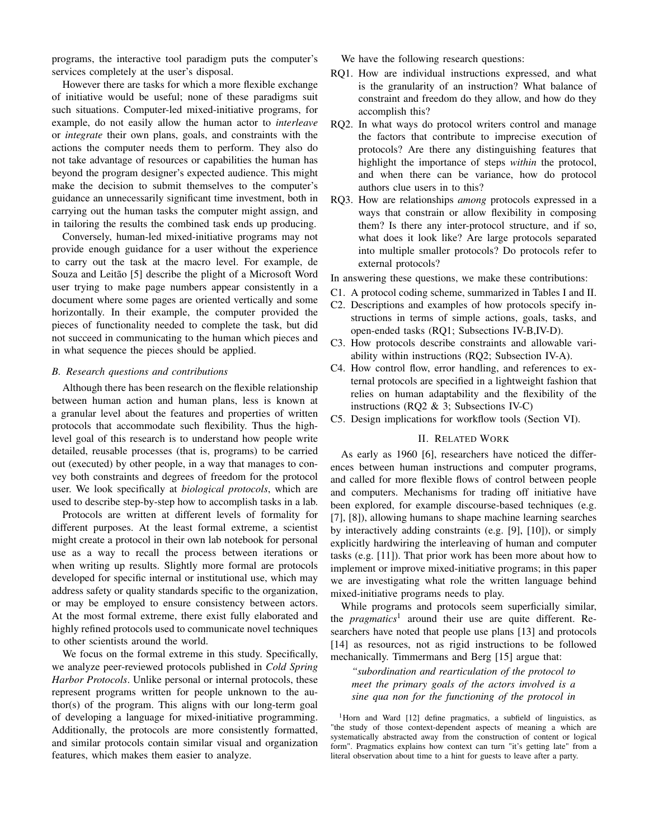programs, the interactive tool paradigm puts the computer's services completely at the user's disposal.

However there are tasks for which a more flexible exchange of initiative would be useful; none of these paradigms suit such situations. Computer-led mixed-initiative programs, for example, do not easily allow the human actor to *interleave* or *integrate* their own plans, goals, and constraints with the actions the computer needs them to perform. They also do not take advantage of resources or capabilities the human has beyond the program designer's expected audience. This might make the decision to submit themselves to the computer's guidance an unnecessarily significant time investment, both in carrying out the human tasks the computer might assign, and in tailoring the results the combined task ends up producing.

Conversely, human-led mixed-initiative programs may not provide enough guidance for a user without the experience to carry out the task at the macro level. For example, de Souza and Leitão [5] describe the plight of a Microsoft Word user trying to make page numbers appear consistently in a document where some pages are oriented vertically and some horizontally. In their example, the computer provided the pieces of functionality needed to complete the task, but did not succeed in communicating to the human which pieces and in what sequence the pieces should be applied.

#### *B. Research questions and contributions*

Although there has been research on the flexible relationship between human action and human plans, less is known at a granular level about the features and properties of written protocols that accommodate such flexibility. Thus the highlevel goal of this research is to understand how people write detailed, reusable processes (that is, programs) to be carried out (executed) by other people, in a way that manages to convey both constraints and degrees of freedom for the protocol user. We look specifically at *biological protocols*, which are used to describe step-by-step how to accomplish tasks in a lab.

Protocols are written at different levels of formality for different purposes. At the least formal extreme, a scientist might create a protocol in their own lab notebook for personal use as a way to recall the process between iterations or when writing up results. Slightly more formal are protocols developed for specific internal or institutional use, which may address safety or quality standards specific to the organization, or may be employed to ensure consistency between actors. At the most formal extreme, there exist fully elaborated and highly refined protocols used to communicate novel techniques to other scientists around the world.

We focus on the formal extreme in this study. Specifically, we analyze peer-reviewed protocols published in *Cold Spring Harbor Protocols*. Unlike personal or internal protocols, these represent programs written for people unknown to the author(s) of the program. This aligns with our long-term goal of developing a language for mixed-initiative programming. Additionally, the protocols are more consistently formatted, and similar protocols contain similar visual and organization features, which makes them easier to analyze.

We have the following research questions:

- RQ1. How are individual instructions expressed, and what is the granularity of an instruction? What balance of constraint and freedom do they allow, and how do they accomplish this?
- RQ2. In what ways do protocol writers control and manage the factors that contribute to imprecise execution of protocols? Are there any distinguishing features that highlight the importance of steps *within* the protocol, and when there can be variance, how do protocol authors clue users in to this?
- RQ3. How are relationships *among* protocols expressed in a ways that constrain or allow flexibility in composing them? Is there any inter-protocol structure, and if so, what does it look like? Are large protocols separated into multiple smaller protocols? Do protocols refer to external protocols?

In answering these questions, we make these contributions:

- C1. A protocol coding scheme, summarized in Tables I and II.
- C2. Descriptions and examples of how protocols specify instructions in terms of simple actions, goals, tasks, and open-ended tasks (RQ1; Subsections IV-B,IV-D).
- C3. How protocols describe constraints and allowable variability within instructions (RQ2; Subsection IV-A).
- C4. How control flow, error handling, and references to external protocols are specified in a lightweight fashion that relies on human adaptability and the flexibility of the instructions (RQ2 & 3; Subsections IV-C)
- C5. Design implications for workflow tools (Section VI).

#### II. RELATED WORK

As early as 1960 [6], researchers have noticed the differences between human instructions and computer programs, and called for more flexible flows of control between people and computers. Mechanisms for trading off initiative have been explored, for example discourse-based techniques (e.g. [7], [8]), allowing humans to shape machine learning searches by interactively adding constraints (e.g. [9], [10]), or simply explicitly hardwiring the interleaving of human and computer tasks (e.g. [11]). That prior work has been more about how to implement or improve mixed-initiative programs; in this paper we are investigating what role the written language behind mixed-initiative programs needs to play.

While programs and protocols seem superficially similar, the *pragmatics*<sup>1</sup> around their use are quite different. Researchers have noted that people use plans [13] and protocols [14] as resources, not as rigid instructions to be followed mechanically. Timmermans and Berg [15] argue that:

*"subordination and rearticulation of the protocol to meet the primary goals of the actors involved is a sine qua non for the functioning of the protocol in*

<sup>1</sup>Horn and Ward [12] define pragmatics, a subfield of linguistics, as "the study of those context-dependent aspects of meaning a which are systematically abstracted away from the construction of content or logical form". Pragmatics explains how context can turn "it's getting late" from a literal observation about time to a hint for guests to leave after a party.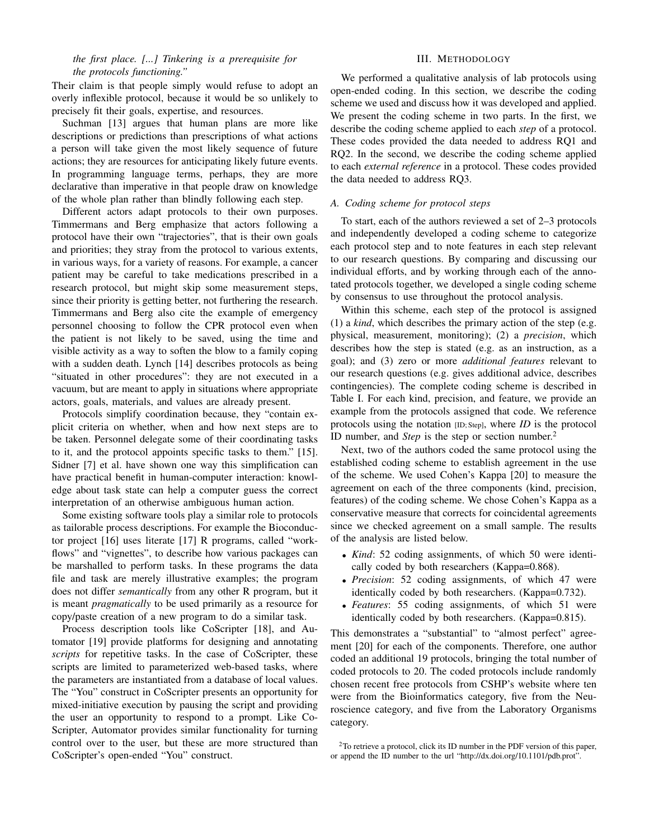# *the first place. [...] Tinkering is a prerequisite for the protocols functioning."*

Their claim is that people simply would refuse to adopt an overly inflexible protocol, because it would be so unlikely to precisely fit their goals, expertise, and resources.

Suchman [13] argues that human plans are more like descriptions or predictions than prescriptions of what actions a person will take given the most likely sequence of future actions; they are resources for anticipating likely future events. In programming language terms, perhaps, they are more declarative than imperative in that people draw on knowledge of the whole plan rather than blindly following each step.

Different actors adapt protocols to their own purposes. Timmermans and Berg emphasize that actors following a protocol have their own "trajectories", that is their own goals and priorities; they stray from the protocol to various extents, in various ways, for a variety of reasons. For example, a cancer patient may be careful to take medications prescribed in a research protocol, but might skip some measurement steps, since their priority is getting better, not furthering the research. Timmermans and Berg also cite the example of emergency personnel choosing to follow the CPR protocol even when the patient is not likely to be saved, using the time and visible activity as a way to soften the blow to a family coping with a sudden death. Lynch [14] describes protocols as being "situated in other procedures": they are not executed in a vacuum, but are meant to apply in situations where appropriate actors, goals, materials, and values are already present.

Protocols simplify coordination because, they "contain explicit criteria on whether, when and how next steps are to be taken. Personnel delegate some of their coordinating tasks to it, and the protocol appoints specific tasks to them." [15]. Sidner [7] et al. have shown one way this simplification can have practical benefit in human-computer interaction: knowledge about task state can help a computer guess the correct interpretation of an otherwise ambiguous human action.

Some existing software tools play a similar role to protocols as tailorable process descriptions. For example the Bioconductor project [16] uses literate [17] R programs, called "workflows" and "vignettes", to describe how various packages can be marshalled to perform tasks. In these programs the data file and task are merely illustrative examples; the program does not differ *semantically* from any other R program, but it is meant *pragmatically* to be used primarily as a resource for copy/paste creation of a new program to do a similar task.

Process description tools like CoScripter [18], and Automator [19] provide platforms for designing and annotating *scripts* for repetitive tasks. In the case of CoScripter, these scripts are limited to parameterized web-based tasks, where the parameters are instantiated from a database of local values. The "You" construct in CoScripter presents an opportunity for mixed-initiative execution by pausing the script and providing the user an opportunity to respond to a prompt. Like Co-Scripter, Automator provides similar functionality for turning control over to the user, but these are more structured than CoScripter's open-ended "You" construct.

#### III. METHODOLOGY

We performed a qualitative analysis of lab protocols using open-ended coding. In this section, we describe the coding scheme we used and discuss how it was developed and applied. We present the coding scheme in two parts. In the first, we describe the coding scheme applied to each *step* of a protocol. These codes provided the data needed to address RQ1 and RQ2. In the second, we describe the coding scheme applied to each *external reference* in a protocol. These codes provided the data needed to address RQ3.

#### *A. Coding scheme for protocol steps*

To start, each of the authors reviewed a set of 2–3 protocols and independently developed a coding scheme to categorize each protocol step and to note features in each step relevant to our research questions. By comparing and discussing our individual efforts, and by working through each of the annotated protocols together, we developed a single coding scheme by consensus to use throughout the protocol analysis.

Within this scheme, each step of the protocol is assigned (1) a *kind*, which describes the primary action of the step (e.g. physical, measurement, monitoring); (2) a *precision*, which describes how the step is stated (e.g. as an instruction, as a goal); and (3) zero or more *additional features* relevant to our research questions (e.g. gives additional advice, describes contingencies). The complete coding scheme is described in Table I. For each kind, precision, and feature, we provide an example from the protocols assigned that code. We reference protocols using the notation [ID; Step], where *ID* is the protocol ID number, and *Step* is the step or section number.<sup>2</sup>

Next, two of the authors coded the same protocol using the established coding scheme to establish agreement in the use of the scheme. We used Cohen's Kappa [20] to measure the agreement on each of the three components (kind, precision, features) of the coding scheme. We chose Cohen's Kappa as a conservative measure that corrects for coincidental agreements since we checked agreement on a small sample. The results of the analysis are listed below.

- *Kind*: 52 coding assignments, of which 50 were identically coded by both researchers (Kappa=0.868).
- *Precision*: 52 coding assignments, of which 47 were identically coded by both researchers. (Kappa=0.732).
- *Features*: 55 coding assignments, of which 51 were identically coded by both researchers. (Kappa=0.815).

This demonstrates a "substantial" to "almost perfect" agreement [20] for each of the components. Therefore, one author coded an additional 19 protocols, bringing the total number of coded protocols to 20. The coded protocols include randomly chosen recent free protocols from CSHP's website where ten were from the Bioinformatics category, five from the Neuroscience category, and five from the Laboratory Organisms category.

<sup>&</sup>lt;sup>2</sup>To retrieve a protocol, click its ID number in the PDF version of this paper, or append the ID number to the url "http://dx.doi.org/10.1101/pdb.prot".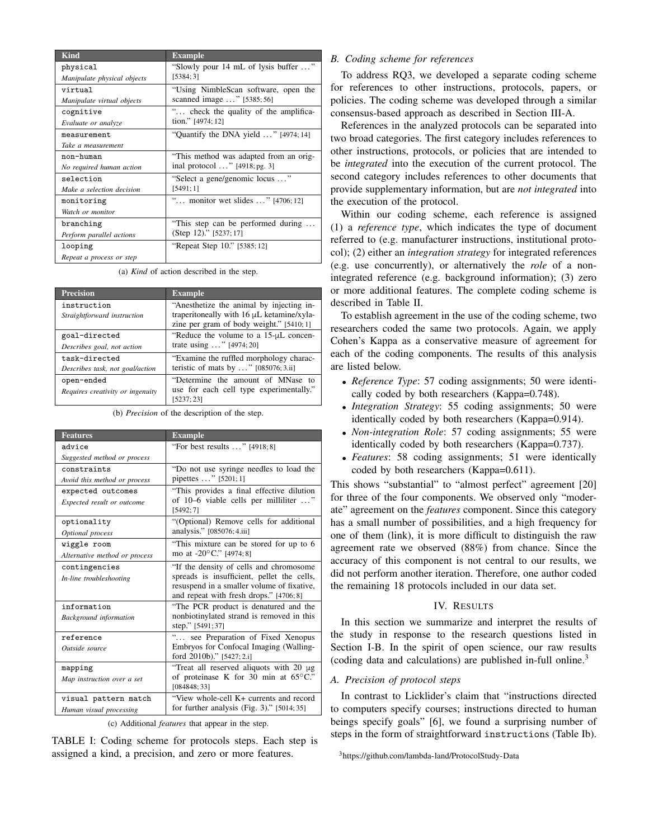| <b>Kind</b>                 | <b>Example</b>                                |  |
|-----------------------------|-----------------------------------------------|--|
| physical                    | "Slowly pour 14 mL of lysis buffer "          |  |
| Manipulate physical objects | [5384:3]                                      |  |
| virtual                     | "Using NimbleScan software, open the          |  |
| Manipulate virtual objects  | scanned image " [5385;56]                     |  |
| cognitive                   | " check the quality of the amplifica-         |  |
| Evaluate or analyze         | tion." [4974; 12]                             |  |
| measurement                 | "Quantify the DNA yield $\ldots$ " [4974; 14] |  |
| Take a measurement          |                                               |  |
| $non-humann$                | "This method was adapted from an orig-        |  |
| No required human action    | inal protocol " $[4918; \text{pg. 3}]$        |  |
| selection                   | "Select a gene/genomic locus "                |  |
| Make a selection decision   | [5491;1]                                      |  |
| monitoring                  | " monitor wet slides " [4706; 12]             |  |
| Watch or monitor            |                                               |  |
| branching                   | "This step can be performed during            |  |
| Perform parallel actions    | (Step 12)." [5237; 17]                        |  |
| looping                     | "Repeat Step 10." [5385; 12]                  |  |
| Repeat a process or step    |                                               |  |

(a) *Kind* of action described in the step.

| <b>Example</b>                                                                        |
|---------------------------------------------------------------------------------------|
| "Anesthetize the animal by injecting in-<br>traperitoneally with 16 µL ketamine/xyla- |
| zine per gram of body weight." $[5410; 1]$                                            |
| "Reduce the volume to a $15-\mu L$ concen-                                            |
| trate using " $[4974; 20]$                                                            |
| "Examine the ruffled morphology charac-                                               |
| teristic of mats by " $[085076; 3.ii]$                                                |
| "Determine the amount of MNase to                                                     |
| use for each cell type experimentally."<br>[5237; 23]                                 |
|                                                                                       |

(b) *Precision* of the description of the step.

| <b>Features</b>               | <b>Example</b>                                                                                                                      |  |
|-------------------------------|-------------------------------------------------------------------------------------------------------------------------------------|--|
| advice                        | "For best results $\ldots$ " [4918; 8]                                                                                              |  |
| Suggested method or process   |                                                                                                                                     |  |
| constraints                   | "Do not use syringe needles to load the                                                                                             |  |
| Avoid this method or process  | pipettes " [5201; 1]                                                                                                                |  |
| expected outcomes             | "This provides a final effective dilution"                                                                                          |  |
| Expected result or outcome    | of 10–6 viable cells per milliliter "<br>[5492; 7]                                                                                  |  |
| optionality                   | "(Optional) Remove cells for additional                                                                                             |  |
| Optional process              | analysis." [085076; 4.iii]                                                                                                          |  |
| wiggle room                   | "This mixture can be stored for up to 6                                                                                             |  |
| Alternative method or process | mo at -20°C." [4974; 8]                                                                                                             |  |
| contingencies                 | "If the density of cells and chromosome                                                                                             |  |
| In-line troubleshooting       | spreads is insufficient, pellet the cells,<br>resuspend in a smaller volume of fixative,<br>and repeat with fresh drops." [4706; 8] |  |
| information                   | "The PCR product is denatured and the                                                                                               |  |
| <b>Background</b> information | nonbiotinylated strand is removed in this<br>step." [5491; 37]                                                                      |  |
| reference                     | " see Preparation of Fixed Xenopus                                                                                                  |  |
| Outside source                | Embryos for Confocal Imaging (Walling-<br>ford 2010b)." [5427; 2.i]                                                                 |  |
| mapping                       | "Treat all reserved aliquots with 20 µg                                                                                             |  |
| Map instruction over a set    | of proteinase K for 30 min at $65^{\circ}$ C."<br>[084848; 33]                                                                      |  |
| visual pattern match          | "View whole-cell K+ currents and record                                                                                             |  |
| Human visual processing       | for further analysis (Fig. 3)." $[5014; 35]$                                                                                        |  |

(c) Additional *features* that appear in the step.

TABLE I: Coding scheme for protocols steps. Each step is assigned a kind, a precision, and zero or more features.

# *B. Coding scheme for references*

To address RQ3, we developed a separate coding scheme for references to other instructions, protocols, papers, or policies. The coding scheme was developed through a similar consensus-based approach as described in Section III-A.

References in the analyzed protocols can be separated into two broad categories. The first category includes references to other instructions, protocols, or policies that are intended to be *integrated* into the execution of the current protocol. The second category includes references to other documents that provide supplementary information, but are *not integrated* into the execution of the protocol.

Within our coding scheme, each reference is assigned (1) a *reference type*, which indicates the type of document referred to (e.g. manufacturer instructions, institutional protocol); (2) either an *integration strategy* for integrated references (e.g. use concurrently), or alternatively the *role* of a nonintegrated reference (e.g. background information); (3) zero or more additional features. The complete coding scheme is described in Table II.

To establish agreement in the use of the coding scheme, two researchers coded the same two protocols. Again, we apply Cohen's Kappa as a conservative measure of agreement for each of the coding components. The results of this analysis are listed below.

- *Reference Type*: 57 coding assignments; 50 were identically coded by both researchers (Kappa=0.748).
- *Integration Strategy*: 55 coding assignments; 50 were identically coded by both researchers (Kappa=0.914).
- *Non-integration Role*: 57 coding assignments; 55 were identically coded by both researchers (Kappa=0.737).
- *Features*: 58 coding assignments; 51 were identically coded by both researchers (Kappa=0.611).

This shows "substantial" to "almost perfect" agreement [20] for three of the four components. We observed only "moderate" agreement on the *features* component. Since this category has a small number of possibilities, and a high frequency for one of them (link), it is more difficult to distinguish the raw agreement rate we observed (88%) from chance. Since the accuracy of this component is not central to our results, we did not perform another iteration. Therefore, one author coded the remaining 18 protocols included in our data set.

#### IV. RESULTS

In this section we summarize and interpret the results of the study in response to the research questions listed in Section I-B. In the spirit of open science, our raw results (coding data and calculations) are published in-full online.<sup>3</sup>

#### *A. Precision of protocol steps*

In contrast to Licklider's claim that "instructions directed to computers specify courses; instructions directed to human beings specify goals" [6], we found a surprising number of steps in the form of straightforward instructions (Table Ib).

<sup>3</sup>https://github.com/lambda-land/ProtocolStudy-Data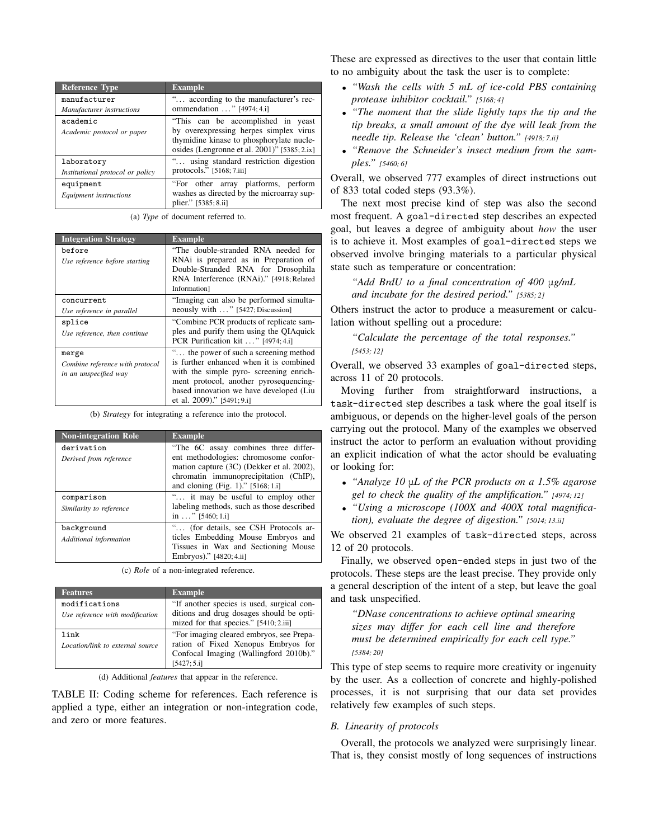| <b>Reference Type</b>            | <b>Example</b>                                 |
|----------------------------------|------------------------------------------------|
| manufacturer                     | " according to the manufacturer's rec-         |
| Manufacturer instructions        | ommendation " [4974; 4.i]                      |
| academic                         | "This can be accomplished in yeast             |
| Academic protocol or paper       | by overexpressing herpes simplex virus         |
|                                  | thymidine kinase to phosphorylate nucle-       |
|                                  | osides (Lengronne et al. 2001)" $[5385; 2.ix]$ |
| laboratory                       | " using standard restriction digestion         |
| Institutional protocol or policy | protocols." $[5168; 7.iii]$                    |
| equipment                        | "For other array platforms, perform            |
| Equipment instructions           | washes as directed by the microarray sup-      |
|                                  | plier." [5385; 8.ii]                           |

(a) *Type* of document referred to.

| <b>Integration Strategy</b>             | <b>Example</b>                                                                                                     |
|-----------------------------------------|--------------------------------------------------------------------------------------------------------------------|
| before<br>Use reference before starting | "The double-stranded RNA needed for<br>RNAi is prepared as in Preparation of<br>Double-Stranded RNA for Drosophila |
|                                         | RNA Interference (RNAi)." [4918; Related<br>Information                                                            |
| concurrent                              | "Imaging can also be performed simulta-                                                                            |
| Use reference in parallel               | neously with " [5427; Discussion]                                                                                  |
| splice                                  | "Combine PCR products of replicate sam-                                                                            |
| Use reference, then continue            | ples and purify them using the OIAquick<br>PCR Purification kit " [4974; 4.i]                                      |
| merge                                   | " the power of such a screening method                                                                             |
| Combine reference with protocol         | is further enhanced when it is combined                                                                            |
| in an unspecified way                   | with the simple pyro- screening enrich-                                                                            |
|                                         | ment protocol, another pyrosequencing-                                                                             |
|                                         | based innovation we have developed (Liu                                                                            |
|                                         | et al. 2009)." [5491; 9.i]                                                                                         |

(b) *Strategy* for integrating a reference into the protocol.

| <b>Non-integration Role</b>           | <b>Example</b>                                                                                                                                                                                              |
|---------------------------------------|-------------------------------------------------------------------------------------------------------------------------------------------------------------------------------------------------------------|
| derivation<br>Derived from reference  | "The 6C assay combines three differ-<br>ent methodologies: chromosome confor-<br>mation capture (3C) (Dekker et al. 2002),<br>chromatin immunoprecipitation (ChIP),<br>and cloning (Fig. 1)." $[5168; 1.1]$ |
| comparison<br>Similarity to reference | " it may be useful to employ other<br>labeling methods, such as those described<br>in " $[5460; 1.i]$                                                                                                       |
| background<br>Additional information  | " (for details, see CSH Protocols ar-<br>ticles Embedding Mouse Embryos and<br>Tissues in Wax and Sectioning Mouse<br>Embryos)." [4820; 4.ii]                                                               |

(c) *Role* of a non-integrated reference.

| <b>Features</b>                  | <b>Example</b>                             |
|----------------------------------|--------------------------------------------|
| modifications                    | "If another species is used, surgical con- |
| Use reference with modification  | ditions and drug dosages should be opti-   |
|                                  | mized for that species." [5410; 2.iii]     |
| link                             | "For imaging cleared embryos, see Prepa-   |
| Location/link to external source | ration of Fixed Xenopus Embryos for        |
|                                  | Confocal Imaging (Wallingford 2010b)."     |
|                                  | [5427:5.1]                                 |

(d) Additional *features* that appear in the reference.

TABLE II: Coding scheme for references. Each reference is applied a type, either an integration or non-integration code, and zero or more features.

These are expressed as directives to the user that contain little to no ambiguity about the task the user is to complete:

- *"Wash the cells with 5 mL of ice-cold PBS containing protease inhibitor cocktail." [5168; 4]*
- *"The moment that the slide lightly taps the tip and the tip breaks, a small amount of the dye will leak from the needle tip. Release the 'clean' button." [4918; 7.ii]*
- *"Remove the Schneider's insect medium from the samples." [5460; 6]*

Overall, we observed 777 examples of direct instructions out of 833 total coded steps (93.3%).

The next most precise kind of step was also the second most frequent. A goal-directed step describes an expected goal, but leaves a degree of ambiguity about *how* the user is to achieve it. Most examples of goal-directed steps we observed involve bringing materials to a particular physical state such as temperature or concentration:

*"Add BrdU to a final concentration of 400* μ*g/mL and incubate for the desired period." [5385; 2]*

Others instruct the actor to produce a measurement or calculation without spelling out a procedure:

*"Calculate the percentage of the total responses." [5453; 12]*

Overall, we observed 33 examples of goal-directed steps, across 11 of 20 protocols.

Moving further from straightforward instructions, a task-directed step describes a task where the goal itself is ambiguous, or depends on the higher-level goals of the person carrying out the protocol. Many of the examples we observed instruct the actor to perform an evaluation without providing an explicit indication of what the actor should be evaluating or looking for:

- *"Analyze 10* μ*L of the PCR products on a 1.5% agarose gel to check the quality of the amplification." [4974; 12]*
- *"Using a microscope (100X and 400X total magnification), evaluate the degree of digestion." [5014; 13.ii]*

We observed 21 examples of task-directed steps, across 12 of 20 protocols.

Finally, we observed open-ended steps in just two of the protocols. These steps are the least precise. They provide only a general description of the intent of a step, but leave the goal and task unspecified.

*"DNase concentrations to achieve optimal smearing sizes may differ for each cell line and therefore must be determined empirically for each cell type." [5384; 20]*

This type of step seems to require more creativity or ingenuity by the user. As a collection of concrete and highly-polished processes, it is not surprising that our data set provides relatively few examples of such steps.

#### *B. Linearity of protocols*

Overall, the protocols we analyzed were surprisingly linear. That is, they consist mostly of long sequences of instructions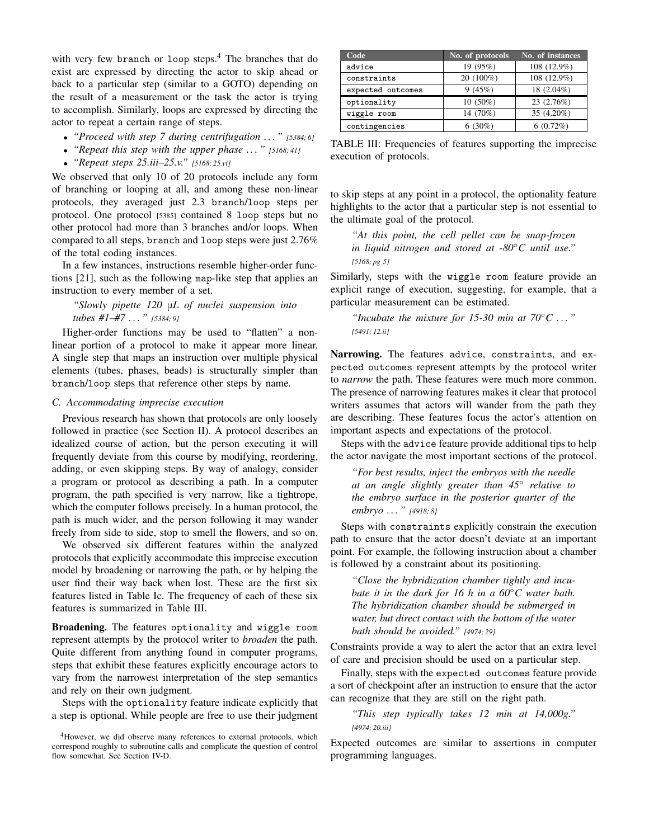with very few branch or loop steps.<sup>4</sup> The branches that do exist are expressed by directing the actor to skip ahead or back to a particular step (similar to a GOTO) depending on the result of a measurement or the task the actor is trying to accomplish. Similarly, loops are expressed by directing the actor to repeat a certain range of steps.

- *"Proceed with step 7 during centrifugation . . . " [5384; 6]*
- *"Repeat this step with the upper phase . . . " [5168; 41]*
- *"Repeat steps 25.iii–25.v." [5168; 25.vi]*

We observed that only 10 of 20 protocols include any form of branching or looping at all, and among these non-linear protocols, they averaged just 2.3 branch/loop steps per protocol. One protocol [5385] contained 8 loop steps but no other protocol had more than 3 branches and/or loops. When compared to all steps, branch and loop steps were just 2.76% of the total coding instances.

In a few instances, instructions resemble higher-order functions [21], such as the following map-like step that applies an instruction to every member of a set.

*"Slowly pipette 120* μ*L of nuclei suspension into tubes #1–#7 . . . " [5384; 9]*

Higher-order functions may be used to "flatten" a nonlinear portion of a protocol to make it appear more linear. A single step that maps an instruction over multiple physical elements (tubes, phases, beads) is structurally simpler than branch/loop steps that reference other steps by name.

# *C. Accommodating imprecise execution*

Previous research has shown that protocols are only loosely followed in practice (see Section II). A protocol describes an idealized course of action, but the person executing it will frequently deviate from this course by modifying, reordering, adding, or even skipping steps. By way of analogy, consider a program or protocol as describing a path. In a computer program, the path specified is very narrow, like a tightrope, which the computer follows precisely. In a human protocol, the path is much wider, and the person following it may wander freely from side to side, stop to smell the flowers, and so on.

We observed six different features within the analyzed protocols that explicitly accommodate this imprecise execution model by broadening or narrowing the path, or by helping the user find their way back when lost. These are the first six features listed in Table Ic. The frequency of each of these six features is summarized in Table III.

Broadening. The features optionality and wiggle room represent attempts by the protocol writer to *broaden* the path. Quite different from anything found in computer programs, steps that exhibit these features explicitly encourage actors to vary from the narrowest interpretation of the step semantics and rely on their own judgment.

Steps with the optionality feature indicate explicitly that a step is optional. While people are free to use their judgment

| Code              | No. of protocols | No. of instances |
|-------------------|------------------|------------------|
| advice            | 19 (95%)         | 108 (12.9%)      |
| constraints       | 20 (100%)        | 108 (12.9%)      |
| expected outcomes | 9(45%)           | 18 (2.04%)       |
| optionality       | $10(50\%)$       | 23 (2.76%)       |
| wiggle room       | 14 (70%)         | 35 (4.20%)       |
| contingencies     | 6(30%)           | 6(0.72%)         |

TABLE III: Frequencies of features supporting the imprecise execution of protocols.

to skip steps at any point in a protocol, the optionality feature highlights to the actor that a particular step is not essential to the ultimate goal of the protocol.

*"At this point, the cell pellet can be snap-frozen in liquid nitrogen and stored at -80*◦*C until use." [5168; pg 5]*

Similarly, steps with the wiggle room feature provide an explicit range of execution, suggesting, for example, that a particular measurement can be estimated.

*"Incubate the mixture for 15-30 min at 70*◦*C . . . " [5491; 12.ii]*

Narrowing. The features advice, constraints, and expected outcomes represent attempts by the protocol writer to *narrow* the path. These features were much more common. The presence of narrowing features makes it clear that protocol writers assumes that actors will wander from the path they are describing. These features focus the actor's attention on important aspects and expectations of the protocol.

Steps with the advice feature provide additional tips to help the actor navigate the most important sections of the protocol.

*"For best results, inject the embryos with the needle at an angle slightly greater than 45*◦ *relative to the embryo surface in the posterior quarter of the embryo . . . " [4918; 8]*

Steps with constraints explicitly constrain the execution path to ensure that the actor doesn't deviate at an important point. For example, the following instruction about a chamber is followed by a constraint about its positioning.

*"Close the hybridization chamber tightly and incubate it in the dark for 16 h in a 60*◦*C water bath. The hybridization chamber should be submerged in water, but direct contact with the bottom of the water bath should be avoided." [4974; 29]*

Constraints provide a way to alert the actor that an extra level of care and precision should be used on a particular step.

Finally, steps with the expected outcomes feature provide a sort of checkpoint after an instruction to ensure that the actor can recognize that they are still on the right path.

*"This step typically takes 12 min at 14,000g." [4974; 20.iii]*

Expected outcomes are similar to assertions in computer programming languages.

<sup>&</sup>lt;sup>4</sup>However, we did observe many references to external protocols, which correspond roughly to subroutine calls and complicate the question of control flow somewhat. See Section IV-D.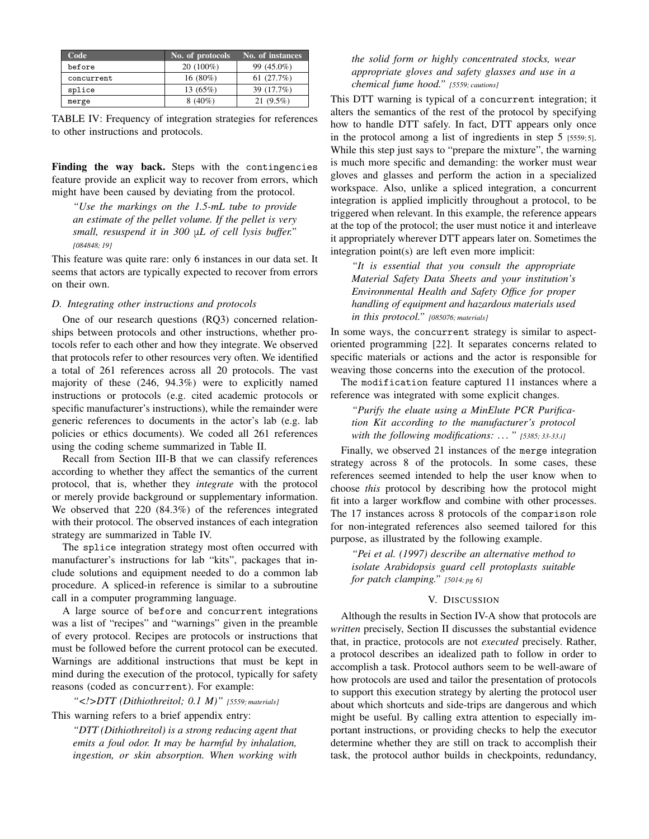| Code       | No. of protocols | No. of instances |
|------------|------------------|------------------|
| before     | $20(100\%)$      | 99 (45.0%)       |
| concurrent | $16(80\%)$       | 61(27.7%)        |
| splice     | 13(65%)          | 39 (17.7%)       |
| merge      | $8(40\%)$        | $21(9.5\%)$      |

TABLE IV: Frequency of integration strategies for references to other instructions and protocols.

Finding the way back. Steps with the contingencies feature provide an explicit way to recover from errors, which might have been caused by deviating from the protocol.

*"Use the markings on the 1.5-mL tube to provide an estimate of the pellet volume. If the pellet is very small, resuspend it in 300* μ*L of cell lysis buffer." [084848; 19]*

This feature was quite rare: only 6 instances in our data set. It seems that actors are typically expected to recover from errors on their own.

#### *D. Integrating other instructions and protocols*

One of our research questions (RQ3) concerned relationships between protocols and other instructions, whether protocols refer to each other and how they integrate. We observed that protocols refer to other resources very often. We identified a total of 261 references across all 20 protocols. The vast majority of these (246, 94.3%) were to explicitly named instructions or protocols (e.g. cited academic protocols or specific manufacturer's instructions), while the remainder were generic references to documents in the actor's lab (e.g. lab policies or ethics documents). We coded all 261 references using the coding scheme summarized in Table II.

Recall from Section III-B that we can classify references according to whether they affect the semantics of the current protocol, that is, whether they *integrate* with the protocol or merely provide background or supplementary information. We observed that 220 (84.3%) of the references integrated with their protocol. The observed instances of each integration strategy are summarized in Table IV.

The splice integration strategy most often occurred with manufacturer's instructions for lab "kits", packages that include solutions and equipment needed to do a common lab procedure. A spliced-in reference is similar to a subroutine call in a computer programming language.

A large source of before and concurrent integrations was a list of "recipes" and "warnings" given in the preamble of every protocol. Recipes are protocols or instructions that must be followed before the current protocol can be executed. Warnings are additional instructions that must be kept in mind during the execution of the protocol, typically for safety reasons (coded as concurrent). For example:

*"<!>DTT (Dithiothreitol; 0.1 M)" [5559; materials]*

This warning refers to a brief appendix entry:

*"DTT (Dithiothreitol) is a strong reducing agent that emits a foul odor. It may be harmful by inhalation, ingestion, or skin absorption. When working with*

*the solid form or highly concentrated stocks, wear appropriate gloves and safety glasses and use in a chemical fume hood." [5559; cautions]*

This DTT warning is typical of a concurrent integration; it alters the semantics of the rest of the protocol by specifying how to handle DTT safely. In fact, DTT appears only once in the protocol among a list of ingredients in step 5 [5559; 5]. While this step just says to "prepare the mixture", the warning is much more specific and demanding: the worker must wear gloves and glasses and perform the action in a specialized workspace. Also, unlike a spliced integration, a concurrent integration is applied implicitly throughout a protocol, to be triggered when relevant. In this example, the reference appears at the top of the protocol; the user must notice it and interleave it appropriately wherever DTT appears later on. Sometimes the integration point(s) are left even more implicit:

*"It is essential that you consult the appropriate Material Safety Data Sheets and your institution's Environmental Health and Safety Office for proper handling of equipment and hazardous materials used in this protocol." [085076; materials]*

In some ways, the concurrent strategy is similar to aspectoriented programming [22]. It separates concerns related to specific materials or actions and the actor is responsible for weaving those concerns into the execution of the protocol.

The modification feature captured 11 instances where a reference was integrated with some explicit changes.

*"Purify the eluate using a MinElute PCR Purification Kit according to the manufacturer's protocol with the following modifications: . . . " [5385; 33-33.i]*

Finally, we observed 21 instances of the merge integration strategy across 8 of the protocols. In some cases, these references seemed intended to help the user know when to choose *this* protocol by describing how the protocol might fit into a larger workflow and combine with other processes. The 17 instances across 8 protocols of the comparison role for non-integrated references also seemed tailored for this purpose, as illustrated by the following example.

*"Pei et al. (1997) describe an alternative method to isolate Arabidopsis guard cell protoplasts suitable for patch clamping." [5014; pg 6]*

#### V. DISCUSSION

Although the results in Section IV-A show that protocols are *written* precisely, Section II discusses the substantial evidence that, in practice, protocols are not *executed* precisely. Rather, a protocol describes an idealized path to follow in order to accomplish a task. Protocol authors seem to be well-aware of how protocols are used and tailor the presentation of protocols to support this execution strategy by alerting the protocol user about which shortcuts and side-trips are dangerous and which might be useful. By calling extra attention to especially important instructions, or providing checks to help the executor determine whether they are still on track to accomplish their task, the protocol author builds in checkpoints, redundancy,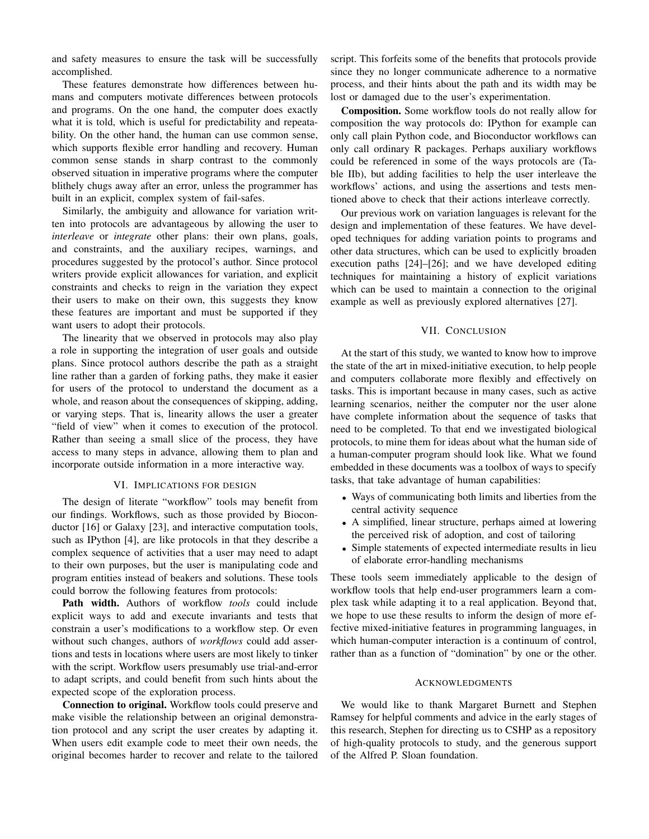and safety measures to ensure the task will be successfully accomplished.

These features demonstrate how differences between humans and computers motivate differences between protocols and programs. On the one hand, the computer does exactly what it is told, which is useful for predictability and repeatability. On the other hand, the human can use common sense, which supports flexible error handling and recovery. Human common sense stands in sharp contrast to the commonly observed situation in imperative programs where the computer blithely chugs away after an error, unless the programmer has built in an explicit, complex system of fail-safes.

Similarly, the ambiguity and allowance for variation written into protocols are advantageous by allowing the user to *interleave* or *integrate* other plans: their own plans, goals, and constraints, and the auxiliary recipes, warnings, and procedures suggested by the protocol's author. Since protocol writers provide explicit allowances for variation, and explicit constraints and checks to reign in the variation they expect their users to make on their own, this suggests they know these features are important and must be supported if they want users to adopt their protocols.

The linearity that we observed in protocols may also play a role in supporting the integration of user goals and outside plans. Since protocol authors describe the path as a straight line rather than a garden of forking paths, they make it easier for users of the protocol to understand the document as a whole, and reason about the consequences of skipping, adding, or varying steps. That is, linearity allows the user a greater "field of view" when it comes to execution of the protocol. Rather than seeing a small slice of the process, they have access to many steps in advance, allowing them to plan and incorporate outside information in a more interactive way.

#### VI. IMPLICATIONS FOR DESIGN

The design of literate "workflow" tools may benefit from our findings. Workflows, such as those provided by Bioconductor [16] or Galaxy [23], and interactive computation tools, such as IPython [4], are like protocols in that they describe a complex sequence of activities that a user may need to adapt to their own purposes, but the user is manipulating code and program entities instead of beakers and solutions. These tools could borrow the following features from protocols:

Path width. Authors of workflow *tools* could include explicit ways to add and execute invariants and tests that constrain a user's modifications to a workflow step. Or even without such changes, authors of *workflows* could add assertions and tests in locations where users are most likely to tinker with the script. Workflow users presumably use trial-and-error to adapt scripts, and could benefit from such hints about the expected scope of the exploration process.

Connection to original. Workflow tools could preserve and make visible the relationship between an original demonstration protocol and any script the user creates by adapting it. When users edit example code to meet their own needs, the original becomes harder to recover and relate to the tailored script. This forfeits some of the benefits that protocols provide since they no longer communicate adherence to a normative process, and their hints about the path and its width may be lost or damaged due to the user's experimentation.

Composition. Some workflow tools do not really allow for composition the way protocols do: IPython for example can only call plain Python code, and Bioconductor workflows can only call ordinary R packages. Perhaps auxiliary workflows could be referenced in some of the ways protocols are (Table IIb), but adding facilities to help the user interleave the workflows' actions, and using the assertions and tests mentioned above to check that their actions interleave correctly.

Our previous work on variation languages is relevant for the design and implementation of these features. We have developed techniques for adding variation points to programs and other data structures, which can be used to explicitly broaden execution paths [24]–[26]; and we have developed editing techniques for maintaining a history of explicit variations which can be used to maintain a connection to the original example as well as previously explored alternatives [27].

# VII. CONCLUSION

At the start of this study, we wanted to know how to improve the state of the art in mixed-initiative execution, to help people and computers collaborate more flexibly and effectively on tasks. This is important because in many cases, such as active learning scenarios, neither the computer nor the user alone have complete information about the sequence of tasks that need to be completed. To that end we investigated biological protocols, to mine them for ideas about what the human side of a human-computer program should look like. What we found embedded in these documents was a toolbox of ways to specify tasks, that take advantage of human capabilities:

- Ways of communicating both limits and liberties from the central activity sequence
- A simplified, linear structure, perhaps aimed at lowering the perceived risk of adoption, and cost of tailoring
- Simple statements of expected intermediate results in lieu of elaborate error-handling mechanisms

These tools seem immediately applicable to the design of workflow tools that help end-user programmers learn a complex task while adapting it to a real application. Beyond that, we hope to use these results to inform the design of more effective mixed-initiative features in programming languages, in which human-computer interaction is a continuum of control, rather than as a function of "domination" by one or the other.

#### ACKNOWLEDGMENTS

We would like to thank Margaret Burnett and Stephen Ramsey for helpful comments and advice in the early stages of this research, Stephen for directing us to CSHP as a repository of high-quality protocols to study, and the generous support of the Alfred P. Sloan foundation.